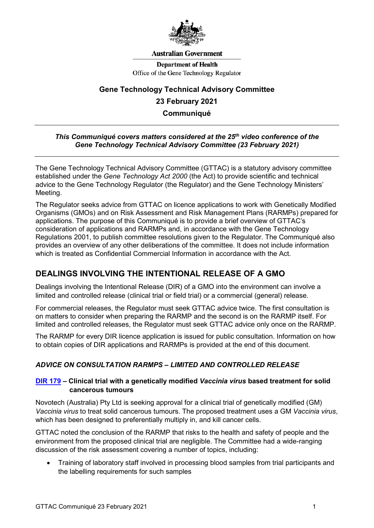

#### **Australian Government**

**Department of Health** Office of the Gene Technology Regulator

# **Gene Technology Technical Advisory Committee 23 February 2021 Communiqué**

#### *This Communiqué covers matters considered at the 25th video conference of the Gene Technology Technical Advisory Committee (23 February 2021)*

The Gene Technology Technical Advisory Committee (GTTAC) is a statutory advisory committee established under the *Gene Technology Act 2000* (the Act) to provide scientific and technical advice to the Gene Technology Regulator (the Regulator) and the Gene Technology Ministers' Meeting.

The Regulator seeks advice from GTTAC on licence applications to work with Genetically Modified Organisms (GMOs) and on Risk Assessment and Risk Management Plans (RARMPs) prepared for applications. The purpose of this Communiqué is to provide a brief overview of GTTAC's consideration of applications and RARMPs and, in accordance with the Gene Technology Regulations 2001, to publish committee resolutions given to the Regulator. The Communiqué also provides an overview of any other deliberations of the committee. It does not include information which is treated as Confidential Commercial Information in accordance with the Act.

## **DEALINGS INVOLVING THE INTENTIONAL RELEASE OF A GMO**

Dealings involving the Intentional Release (DIR) of a GMO into the environment can involve a limited and controlled release (clinical trial or field trial) or a commercial (general) release.

For commercial releases, the Regulator must seek GTTAC advice twice. The first consultation is on matters to consider when preparing the RARMP and the second is on the RARMP itself. For limited and controlled releases, the Regulator must seek GTTAC advice only once on the RARMP.

The RARMP for every DIR licence application is issued for public consultation. Information on how to obtain copies of DIR applications and RARMPs is provided at the end of this document.

### *ADVICE ON CONSULTATION RARMPS – LIMITED AND CONTROLLED RELEASE*

#### **[DIR 179](http://www.ogtr.gov.au/internet/ogtr/publishing.nsf/Content/DIR179) – Clinical trial with a genetically modified** *Vaccinia virus* **based treatment for solid cancerous tumours**

Novotech (Australia) Pty Ltd is seeking approval for a clinical trial of genetically modified (GM) *Vaccinia virus* to treat solid cancerous tumours. The proposed treatment uses a GM *Vaccinia virus*, which has been designed to preferentially multiply in, and kill cancer cells.

GTTAC noted the conclusion of the RARMP that risks to the health and safety of people and the environment from the proposed clinical trial are negligible. The Committee had a wide-ranging discussion of the risk assessment covering a number of topics, including:

• Training of laboratory staff involved in processing blood samples from trial participants and the labelling requirements for such samples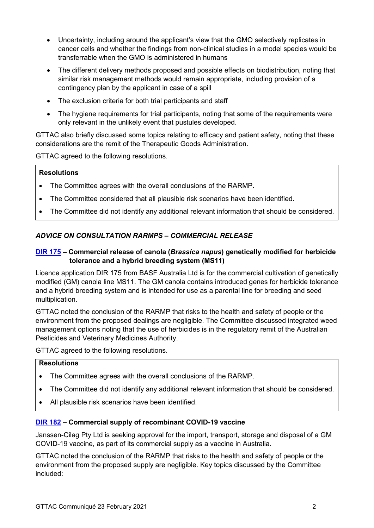- Uncertainty, including around the applicant's view that the GMO selectively replicates in cancer cells and whether the findings from non-clinical studies in a model species would be transferrable when the GMO is administered in humans
- The different delivery methods proposed and possible effects on biodistribution, noting that similar risk management methods would remain appropriate, including provision of a contingency plan by the applicant in case of a spill
- The exclusion criteria for both trial participants and staff
- The hygiene requirements for trial participants, noting that some of the requirements were only relevant in the unlikely event that pustules developed.

GTTAC also briefly discussed some topics relating to efficacy and patient safety, noting that these considerations are the remit of the Therapeutic Goods Administration.

GTTAC agreed to the following resolutions.

#### **Resolutions**

- The Committee agrees with the overall conclusions of the RARMP.
- The Committee considered that all plausible risk scenarios have been identified.
- The Committee did not identify any additional relevant information that should be considered.

### *ADVICE ON CONSULTATION RARMPS – COMMERCIAL RELEASE*

#### **[DIR 175](http://www.ogtr.gov.au/internet/ogtr/publishing.nsf/Content/DIR175) – Commercial release of canola (***Brassica napus***) genetically modified for herbicide tolerance and a hybrid breeding system (MS11)**

Licence application DIR 175 from BASF Australia Ltd is for the commercial cultivation of genetically modified (GM) canola line MS11. The GM canola contains introduced genes for herbicide tolerance and a hybrid breeding system and is intended for use as a parental line for breeding and seed multiplication.

GTTAC noted the conclusion of the RARMP that risks to the health and safety of people or the environment from the proposed dealings are negligible. The Committee discussed integrated weed management options noting that the use of herbicides is in the regulatory remit of the Australian Pesticides and Veterinary Medicines Authority.

GTTAC agreed to the following resolutions.

#### **Resolutions**

- The Committee agrees with the overall conclusions of the RARMP.
- The Committee did not identify any additional relevant information that should be considered.
- All plausible risk scenarios have been identified.

#### **[DIR 182](http://www.ogtr.gov.au/internet/ogtr/publishing.nsf/Content/DIR182) – Commercial supply of recombinant COVID-19 vaccine**

Janssen-Cilag Pty Ltd is seeking approval for the import, transport, storage and disposal of a GM COVID-19 vaccine, as part of its commercial supply as a vaccine in Australia.

GTTAC noted the conclusion of the RARMP that risks to the health and safety of people or the environment from the proposed supply are negligible. Key topics discussed by the Committee included: